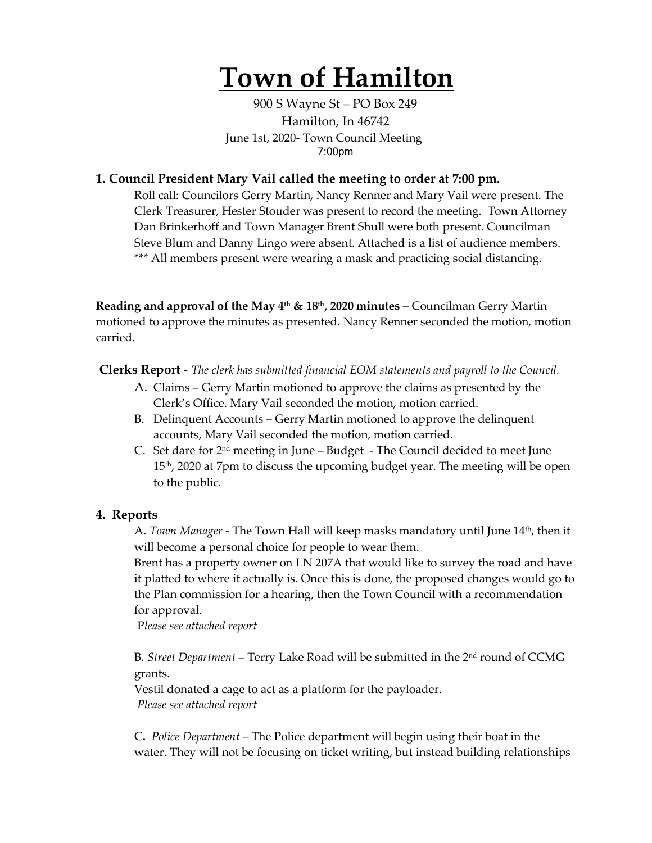# **Town of Hamilton**

900 S Wayne St – PO Box 249 Hamilton, In 46742 June 1st, 2020- Town Council Meeting 7:00pm

## **1. Council President Mary Vail called the meeting to order at 7:00 pm.**

Roll call: Councilors Gerry Martin, Nancy Renner and Mary Vail were present. The Clerk Treasurer, Hester Stouder was present to record the meeting. Town Attorney Dan Brinkerhoff and Town Manager Brent Shull were both present. Councilman Steve Blum and Danny Lingo were absent. Attached is a list of audience members. \*\*\* All members present were wearing a mask and practicing social distancing.

**Reading and approval of the May 4th & 18th, 2020 minutes** – Councilman Gerry Martin motioned to approve the minutes as presented. Nancy Renner seconded the motion, motion carried.

**Clerks Report -** *The clerk has submitted financial EOM statements and payroll to the Council.* 

- A. Claims Gerry Martin motioned to approve the claims as presented by the Clerk's Office. Mary Vail seconded the motion, motion carried.
- B. Delinquent Accounts Gerry Martin motioned to approve the delinquent accounts, Mary Vail seconded the motion, motion carried.
- C. Set dare for 2nd meeting in June Budget The Council decided to meet June 15<sup>th</sup>, 2020 at 7pm to discuss the upcoming budget year. The meeting will be open to the public.

#### **4. Reports**

A. *Town Manager* - The Town Hall will keep masks mandatory until June 14th, then it will become a personal choice for people to wear them.

Brent has a property owner on LN 207A that would like to survey the road and have it platted to where it actually is. Once this is done, the proposed changes would go to the Plan commission for a hearing, then the Town Council with a recommendation for approval.

P*lease see attached report*

B*. Street Department* – Terry Lake Road will be submitted in the 2nd round of CCMG grants.

Vestil donated a cage to act as a platform for the payloader. *Please see attached report*

C**.** *Police Department –* The Police department will begin using their boat in the water. They will not be focusing on ticket writing, but instead building relationships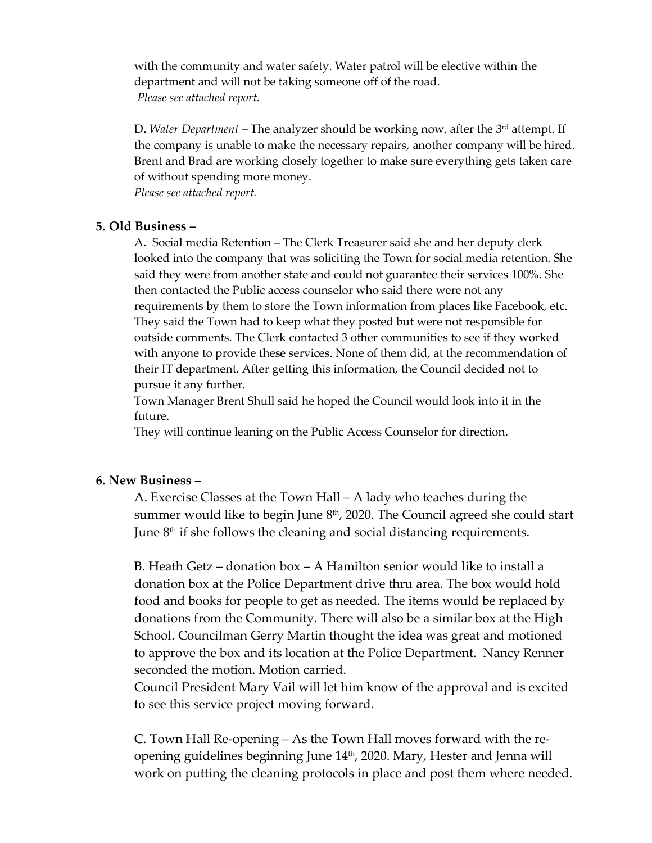with the community and water safety. Water patrol will be elective within the department and will not be taking someone off of the road. *Please see attached report.*

D. Water Department – The analyzer should be working now, after the 3<sup>rd</sup> attempt. If the company is unable to make the necessary repairs, another company will be hired. Brent and Brad are working closely together to make sure everything gets taken care of without spending more money.

*Please see attached report.* 

### **5. Old Business –**

A. Social media Retention – The Clerk Treasurer said she and her deputy clerk looked into the company that was soliciting the Town for social media retention. She said they were from another state and could not guarantee their services 100%. She then contacted the Public access counselor who said there were not any requirements by them to store the Town information from places like Facebook, etc. They said the Town had to keep what they posted but were not responsible for outside comments. The Clerk contacted 3 other communities to see if they worked with anyone to provide these services. None of them did, at the recommendation of their IT department. After getting this information, the Council decided not to pursue it any further.

Town Manager Brent Shull said he hoped the Council would look into it in the future.

They will continue leaning on the Public Access Counselor for direction.

#### **6. New Business –**

A. Exercise Classes at the Town Hall – A lady who teaches during the summer would like to begin June  $8<sup>th</sup>$ , 2020. The Council agreed she could start June  $8<sup>th</sup>$  if she follows the cleaning and social distancing requirements.

B. Heath Getz – donation box – A Hamilton senior would like to install a donation box at the Police Department drive thru area. The box would hold food and books for people to get as needed. The items would be replaced by donations from the Community. There will also be a similar box at the High School. Councilman Gerry Martin thought the idea was great and motioned to approve the box and its location at the Police Department. Nancy Renner seconded the motion. Motion carried.

Council President Mary Vail will let him know of the approval and is excited to see this service project moving forward.

C. Town Hall Re-opening – As the Town Hall moves forward with the reopening guidelines beginning June 14<sup>th</sup>, 2020. Mary, Hester and Jenna will work on putting the cleaning protocols in place and post them where needed.